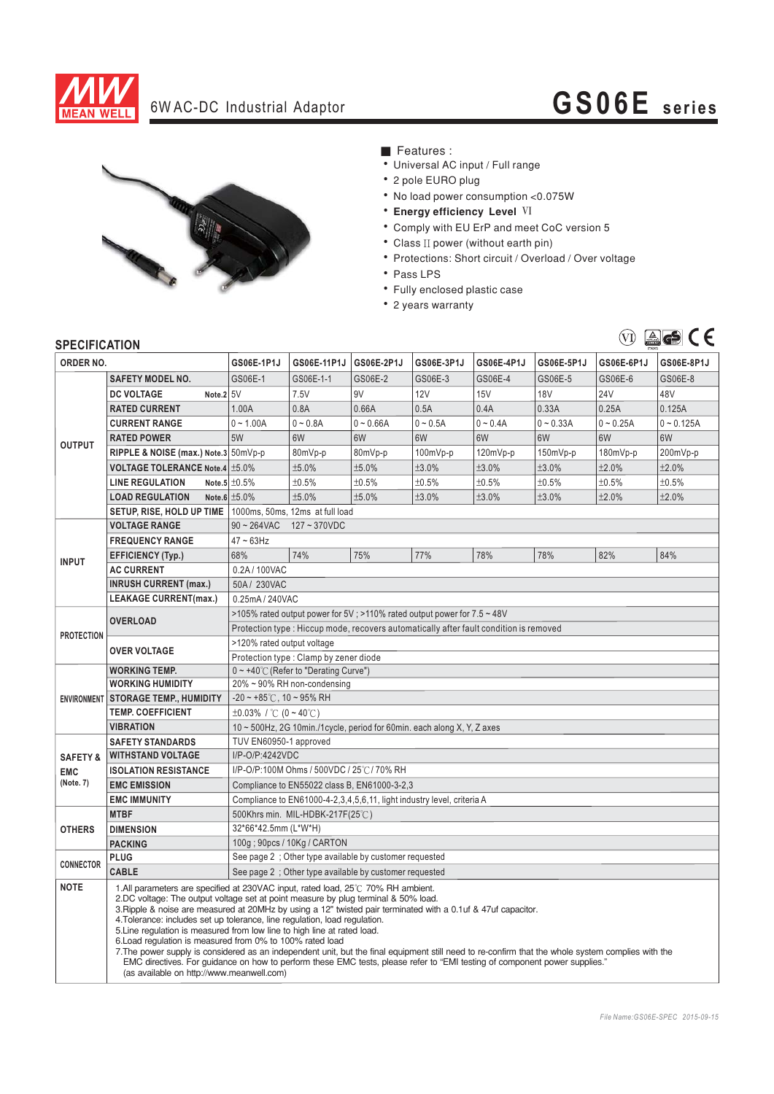

## 6W AC-DC Industrial Adaptor **GS06E series**



- Features :
- Universal AC input / Full range
- 2 pole EURO plug
- . No load power consumption <0.075W
- **Energy efficiency Level VI**
- \* Comply with EU ErP and meet CoC version 5
- Class II power (without earth pin)
- \* Protections: Short circuit / Overload / Over voltage
- Pass LPS
- Fully enclosed plastic case
- 2 years warranty



## **SPECIFICATION**

| יוטהוסטו ווטברוט<br>ORDER NO.                  |                                                                                                                                                                                                                                                                                                                                                                                                                                                                                                                                                                                                                                                                                                                                                                                                                                                 | GS06E-1P1J                                                                                 | GS06E-11P1J | GS06E-2P1J  | GS06E-3P1J | GS06E-4P1J | GS06E-5P1J  | GS06E-6P1J  | GS06E-8P1J   |
|------------------------------------------------|-------------------------------------------------------------------------------------------------------------------------------------------------------------------------------------------------------------------------------------------------------------------------------------------------------------------------------------------------------------------------------------------------------------------------------------------------------------------------------------------------------------------------------------------------------------------------------------------------------------------------------------------------------------------------------------------------------------------------------------------------------------------------------------------------------------------------------------------------|--------------------------------------------------------------------------------------------|-------------|-------------|------------|------------|-------------|-------------|--------------|
|                                                | <b>SAFETY MODEL NO.</b>                                                                                                                                                                                                                                                                                                                                                                                                                                                                                                                                                                                                                                                                                                                                                                                                                         | GS06E-1                                                                                    | GS06E-1-1   | GS06E-2     | GS06E-3    | GS06E-4    | GS06E-5     | GS06E-6     | GS06E-8      |
| <b>OUTPUT</b>                                  | Note.2 5V<br><b>DC VOLTAGE</b>                                                                                                                                                                                                                                                                                                                                                                                                                                                                                                                                                                                                                                                                                                                                                                                                                  |                                                                                            | 7.5V        | 9V          | 12V        | 15V        | <b>18V</b>  | 24V         | 48V          |
|                                                | <b>RATED CURRENT</b>                                                                                                                                                                                                                                                                                                                                                                                                                                                                                                                                                                                                                                                                                                                                                                                                                            | 1.00A                                                                                      | 0.8A        | 0.66A       | 0.5A       | 0.4A       | 0.33A       | 0.25A       | 0.125A       |
|                                                | <b>CURRENT RANGE</b>                                                                                                                                                                                                                                                                                                                                                                                                                                                                                                                                                                                                                                                                                                                                                                                                                            | $0 - 1.00A$                                                                                | $0 - 0.8A$  | $0 - 0.66A$ | $0 - 0.5A$ | $0 - 0.4A$ | $0 - 0.33A$ | $0 - 0.25A$ | $0 - 0.125A$ |
|                                                | <b>RATED POWER</b>                                                                                                                                                                                                                                                                                                                                                                                                                                                                                                                                                                                                                                                                                                                                                                                                                              | 5W                                                                                         | 6W          | 6W          | 6W         | 6W         | 6W          | 6W          | 6W           |
|                                                | RIPPLE & NOISE (max.) Note.3 50mVp-p                                                                                                                                                                                                                                                                                                                                                                                                                                                                                                                                                                                                                                                                                                                                                                                                            |                                                                                            | 80mVp-p     | 80mVp-p     | $100mVp-p$ | 120mVp-p   | $150mVp-p$  | 180mVp-p    | 200mVp-p     |
|                                                | <b>VOLTAGE TOLERANCE Note.4 ±5.0%</b>                                                                                                                                                                                                                                                                                                                                                                                                                                                                                                                                                                                                                                                                                                                                                                                                           |                                                                                            | ±5.0%       | ±5.0%       | ±3.0%      | ±3.0%      | ±3.0%       | ±2.0%       | ±2.0%        |
|                                                | <b>LINE REGULATION</b>                                                                                                                                                                                                                                                                                                                                                                                                                                                                                                                                                                                                                                                                                                                                                                                                                          | Note.5 $\pm 0.5\%$                                                                         | ±0.5%       | ±0.5%       | ±0.5%      | ±0.5%      | ±0.5%       | ±0.5%       | ±0.5%        |
|                                                | <b>LOAD REGULATION</b>                                                                                                                                                                                                                                                                                                                                                                                                                                                                                                                                                                                                                                                                                                                                                                                                                          | Note.6 $±5.0\%$                                                                            | ±5.0%       | ±5.0%       | ±3.0%      | ±3.0%      | ±3.0%       | ±2.0%       | ±2.0%        |
|                                                |                                                                                                                                                                                                                                                                                                                                                                                                                                                                                                                                                                                                                                                                                                                                                                                                                                                 |                                                                                            |             |             |            |            |             |             |              |
|                                                | SETUP, RISE, HOLD UP TIME<br>1000ms, 50ms, 12ms at full load<br>$90 - 264$ VAC<br>$127 - 370$ VDC<br><b>VOLTAGE RANGE</b>                                                                                                                                                                                                                                                                                                                                                                                                                                                                                                                                                                                                                                                                                                                       |                                                                                            |             |             |            |            |             |             |              |
| <b>INPUT</b>                                   | <b>FREQUENCY RANGE</b>                                                                                                                                                                                                                                                                                                                                                                                                                                                                                                                                                                                                                                                                                                                                                                                                                          | $47 \sim 63$ Hz                                                                            |             |             |            |            |             |             |              |
|                                                | <b>EFFICIENCY (Typ.)</b>                                                                                                                                                                                                                                                                                                                                                                                                                                                                                                                                                                                                                                                                                                                                                                                                                        | 68%                                                                                        | 74%         | 75%         | 77%        | 78%        | 78%         | 82%         | 84%          |
|                                                | <b>AC CURRENT</b>                                                                                                                                                                                                                                                                                                                                                                                                                                                                                                                                                                                                                                                                                                                                                                                                                               | 0.2A/100VAC                                                                                |             |             |            |            |             |             |              |
|                                                | <b>INRUSH CURRENT (max.)</b>                                                                                                                                                                                                                                                                                                                                                                                                                                                                                                                                                                                                                                                                                                                                                                                                                    | 50A/230VAC                                                                                 |             |             |            |            |             |             |              |
|                                                | <b>LEAKAGE CURRENT(max.)</b>                                                                                                                                                                                                                                                                                                                                                                                                                                                                                                                                                                                                                                                                                                                                                                                                                    |                                                                                            |             |             |            |            |             |             |              |
| <b>PROTECTION</b>                              | <b>OVERLOAD</b>                                                                                                                                                                                                                                                                                                                                                                                                                                                                                                                                                                                                                                                                                                                                                                                                                                 | 0.25mA / 240VAC<br>>105% rated output power for 5V; >110% rated output power for 7.5 ~ 48V |             |             |            |            |             |             |              |
|                                                |                                                                                                                                                                                                                                                                                                                                                                                                                                                                                                                                                                                                                                                                                                                                                                                                                                                 | Protection type : Hiccup mode, recovers automatically after fault condition is removed     |             |             |            |            |             |             |              |
|                                                |                                                                                                                                                                                                                                                                                                                                                                                                                                                                                                                                                                                                                                                                                                                                                                                                                                                 | >120% rated output voltage                                                                 |             |             |            |            |             |             |              |
|                                                | <b>OVER VOLTAGE</b>                                                                                                                                                                                                                                                                                                                                                                                                                                                                                                                                                                                                                                                                                                                                                                                                                             | Protection type : Clamp by zener diode                                                     |             |             |            |            |             |             |              |
|                                                | <b>WORKING TEMP.</b>                                                                                                                                                                                                                                                                                                                                                                                                                                                                                                                                                                                                                                                                                                                                                                                                                            | $0 \sim +40^{\circ}$ (Refer to "Derating Curve")                                           |             |             |            |            |             |             |              |
|                                                | <b>WORKING HUMIDITY</b>                                                                                                                                                                                                                                                                                                                                                                                                                                                                                                                                                                                                                                                                                                                                                                                                                         | 20% ~ 90% RH non-condensing                                                                |             |             |            |            |             |             |              |
|                                                | <b>ENVIRONMENT STORAGE TEMP., HUMIDITY</b>                                                                                                                                                                                                                                                                                                                                                                                                                                                                                                                                                                                                                                                                                                                                                                                                      | $-20 \sim +85^{\circ}$ C, 10 ~ 95% RH                                                      |             |             |            |            |             |             |              |
|                                                | <b>TEMP. COEFFICIENT</b>                                                                                                                                                                                                                                                                                                                                                                                                                                                                                                                                                                                                                                                                                                                                                                                                                        | $\pm 0.03\%$ / °C (0 ~ 40°C)                                                               |             |             |            |            |             |             |              |
|                                                | <b>VIBRATION</b>                                                                                                                                                                                                                                                                                                                                                                                                                                                                                                                                                                                                                                                                                                                                                                                                                                | 10 ~ 500Hz, 2G 10min./1cycle, period for 60min. each along X, Y, Z axes                    |             |             |            |            |             |             |              |
| <b>SAFETY &amp;</b><br><b>EMC</b><br>(Note. 7) | <b>SAFETY STANDARDS</b>                                                                                                                                                                                                                                                                                                                                                                                                                                                                                                                                                                                                                                                                                                                                                                                                                         | TUV EN60950-1 approved                                                                     |             |             |            |            |             |             |              |
|                                                | <b>WITHSTAND VOLTAGE</b>                                                                                                                                                                                                                                                                                                                                                                                                                                                                                                                                                                                                                                                                                                                                                                                                                        | I/P-O/P:4242VDC                                                                            |             |             |            |            |             |             |              |
|                                                | <b>ISOLATION RESISTANCE</b>                                                                                                                                                                                                                                                                                                                                                                                                                                                                                                                                                                                                                                                                                                                                                                                                                     | I/P-O/P:100M Ohms / 500VDC / 25°C / 70% RH                                                 |             |             |            |            |             |             |              |
|                                                | <b>EMC EMISSION</b>                                                                                                                                                                                                                                                                                                                                                                                                                                                                                                                                                                                                                                                                                                                                                                                                                             | Compliance to EN55022 class B, EN61000-3-2,3                                               |             |             |            |            |             |             |              |
|                                                | <b>EMC IMMUNITY</b>                                                                                                                                                                                                                                                                                                                                                                                                                                                                                                                                                                                                                                                                                                                                                                                                                             | Compliance to EN61000-4-2,3,4,5,6,11, light industry level, criteria A                     |             |             |            |            |             |             |              |
| <b>OTHERS</b>                                  | <b>MTBF</b>                                                                                                                                                                                                                                                                                                                                                                                                                                                                                                                                                                                                                                                                                                                                                                                                                                     | 500Khrs min. MIL-HDBK-217F(25℃)                                                            |             |             |            |            |             |             |              |
|                                                | <b>DIMENSION</b>                                                                                                                                                                                                                                                                                                                                                                                                                                                                                                                                                                                                                                                                                                                                                                                                                                | 32*66*42.5mm (L*W*H)                                                                       |             |             |            |            |             |             |              |
|                                                | <b>PACKING</b>                                                                                                                                                                                                                                                                                                                                                                                                                                                                                                                                                                                                                                                                                                                                                                                                                                  | 100g ; 90pcs / 10Kg / CARTON                                                               |             |             |            |            |             |             |              |
| <b>CONNECTOR</b>                               | <b>PLUG</b>                                                                                                                                                                                                                                                                                                                                                                                                                                                                                                                                                                                                                                                                                                                                                                                                                                     | See page 2 ; Other type available by customer requested                                    |             |             |            |            |             |             |              |
|                                                | <b>CABLE</b>                                                                                                                                                                                                                                                                                                                                                                                                                                                                                                                                                                                                                                                                                                                                                                                                                                    | See page 2 ; Other type available by customer requested                                    |             |             |            |            |             |             |              |
| <b>NOTE</b>                                    | 1.All parameters are specified at 230VAC input, rated load, 25°C 70% RH ambient.<br>2.DC voltage: The output voltage set at point measure by plug terminal & 50% load.<br>3. Ripple & noise are measured at 20MHz by using a 12" twisted pair terminated with a 0.1uf & 47uf capacitor.<br>4. Tolerance: includes set up tolerance, line regulation, load regulation.<br>5. Line regulation is measured from low line to high line at rated load.<br>6. Load regulation is measured from 0% to 100% rated load<br>7. The power supply is considered as an independent unit, but the final equipment still need to re-confirm that the whole system complies with the<br>EMC directives. For guidance on how to perform these EMC tests, please refer to "EMI testing of component power supplies."<br>(as available on http://www.meanwell.com) |                                                                                            |             |             |            |            |             |             |              |